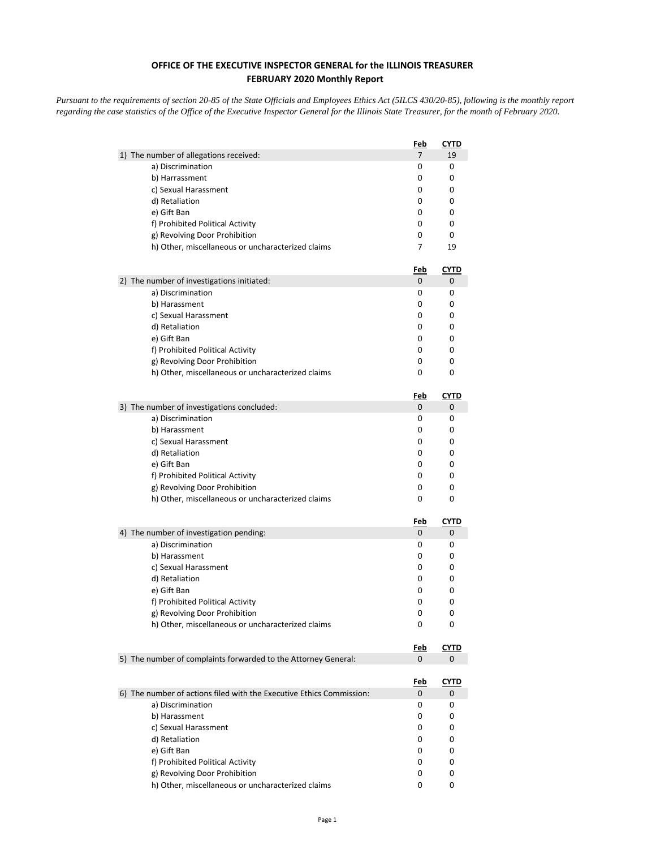## **OFFICE OF THE EXECUTIVE INSPECTOR GENERAL for the ILLINOIS TREASURER FEBRUARY 2020 Monthly Report**

*Pursuant to the requirements of section 20-85 of the State Officials and Employees Ethics Act (5ILCS 430/20-85), following is the monthly report regarding the case statistics of the Office of the Executive Inspector General for the Illinois State Treasurer, for the month of February 2020.* 

|                                                                      | Feb             | CYTD             |
|----------------------------------------------------------------------|-----------------|------------------|
| 1) The number of allegations received:                               | 7               | 19               |
| a) Discrimination                                                    | 0               | 0                |
| b) Harrassment                                                       | 0               | 0                |
| c) Sexual Harassment                                                 | 0               | 0                |
| d) Retaliation                                                       | 0               | 0                |
| e) Gift Ban                                                          | 0               | 0                |
| f) Prohibited Political Activity                                     | 0               | 0                |
| g) Revolving Door Prohibition                                        | 0               | 0                |
| h) Other, miscellaneous or uncharacterized claims                    | 7               | 19               |
|                                                                      | <u>Feb</u>      | <u>CYTD</u>      |
| 2) The number of investigations initiated:                           | 0               | 0                |
| a) Discrimination                                                    | 0               | 0<br>0           |
| b) Harassment                                                        | 0<br>0          | 0                |
| c) Sexual Harassment                                                 |                 |                  |
| d) Retaliation                                                       | 0<br>0          | 0<br>0           |
| e) Gift Ban                                                          |                 |                  |
| f) Prohibited Political Activity                                     | 0<br>0          | 0<br>0           |
| g) Revolving Door Prohibition                                        |                 |                  |
| h) Other, miscellaneous or uncharacterized claims                    | 0               | 0                |
|                                                                      | <u>Feb</u>      | <u>CYTD</u>      |
| 3) The number of investigations concluded:                           | 0               | 0                |
| a) Discrimination                                                    | 0               | 0                |
| b) Harassment                                                        | 0               | 0                |
| c) Sexual Harassment                                                 | 0               | 0                |
| d) Retaliation                                                       | 0               | 0                |
| e) Gift Ban                                                          | 0               | 0                |
| f) Prohibited Political Activity                                     | 0               | 0                |
| g) Revolving Door Prohibition                                        | 0               | 0                |
| h) Other, miscellaneous or uncharacterized claims                    | 0               | 0                |
|                                                                      | <u>Feb</u>      | <u>CYTD</u>      |
| 4) The number of investigation pending:                              | 0               | 0                |
| a) Discrimination                                                    | 0               | 0                |
| b) Harassment                                                        | 0               | 0                |
| c) Sexual Harassment                                                 | 0               | 0                |
| d) Retaliation                                                       | 0               | 0                |
| e) Gift Ban                                                          | 0               | 0                |
| f) Prohibited Political Activity                                     | 0               | 0                |
| g) Revolving Door Prohibition                                        | 0               | 0                |
| h) Other, miscellaneous or uncharacterized claims                    | 0               | 0                |
|                                                                      | <u>Feb</u>      | <b>CYTD</b>      |
| 5) The number of complaints forwarded to the Attorney General:       | 0               | 0                |
|                                                                      |                 |                  |
| 6) The number of actions filed with the Executive Ethics Commission: | <u>Feb</u><br>0 | <b>CYTD</b><br>0 |
| a) Discrimination                                                    | 0               | 0                |
| b) Harassment                                                        | 0               | 0                |
| c) Sexual Harassment                                                 | 0               | 0                |
| d) Retaliation                                                       | 0               | 0                |
| e) Gift Ban                                                          | 0               | 0                |
| f) Prohibited Political Activity                                     | 0               | 0                |
| g) Revolving Door Prohibition                                        | 0               | 0                |
| h) Other, miscellaneous or uncharacterized claims                    | 0               | 0                |
|                                                                      |                 |                  |